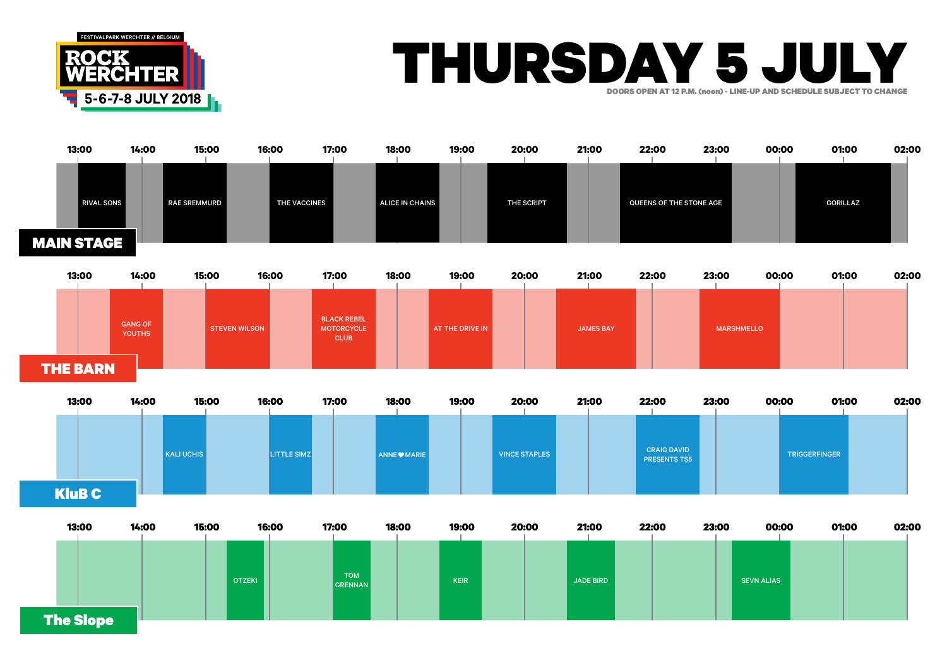

The Slope

## THURSDAY 5 JULY DOORS OPEN AT 12 P.M. (noon) - LINE-UP AND SCHEDULE SUBJECT TO CHANGE

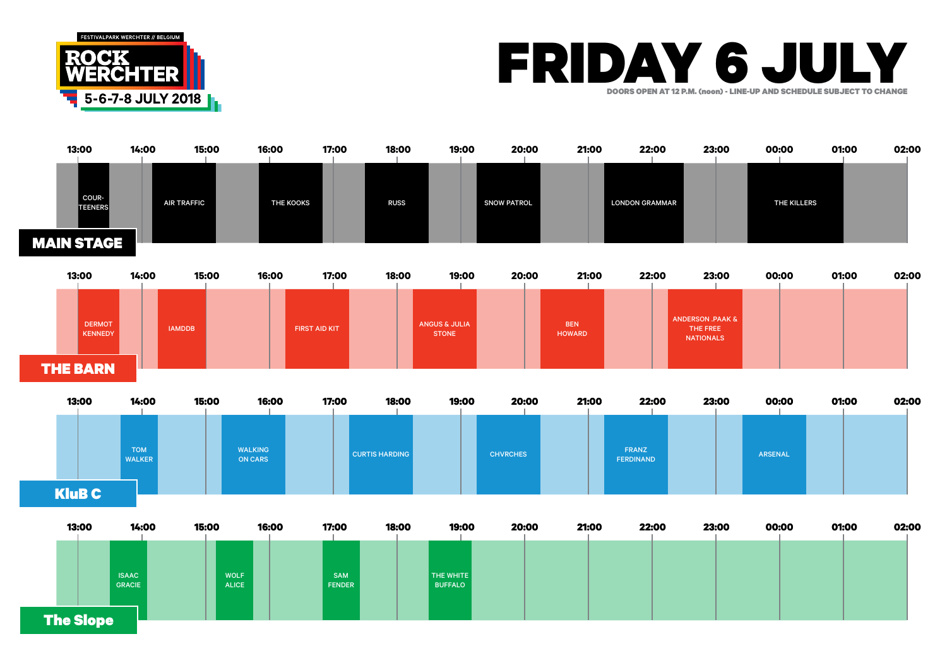





| 13:00            | 14:00                         | 15:00                       | 16:00 | 17:00                       | 18:00 | 19:00                       | 20:00 | 21:00 | 22:00 | 23:00 | 00:00 | 01:00 | 02:00 |
|------------------|-------------------------------|-----------------------------|-------|-----------------------------|-------|-----------------------------|-------|-------|-------|-------|-------|-------|-------|
|                  |                               |                             |       |                             |       |                             |       |       |       |       |       |       |       |
|                  |                               |                             |       |                             |       |                             |       |       |       |       |       |       |       |
|                  | <b>ISAAC</b><br><b>GRACIE</b> | <b>WOLF</b><br><b>ALICE</b> |       | <b>SAM</b><br><b>FENDER</b> |       | THE WHITE<br><b>BUFFALO</b> |       |       |       |       |       |       |       |
|                  |                               |                             |       |                             |       |                             |       |       |       |       |       |       |       |
| <b>The Slope</b> |                               |                             |       |                             |       |                             |       |       |       |       |       |       |       |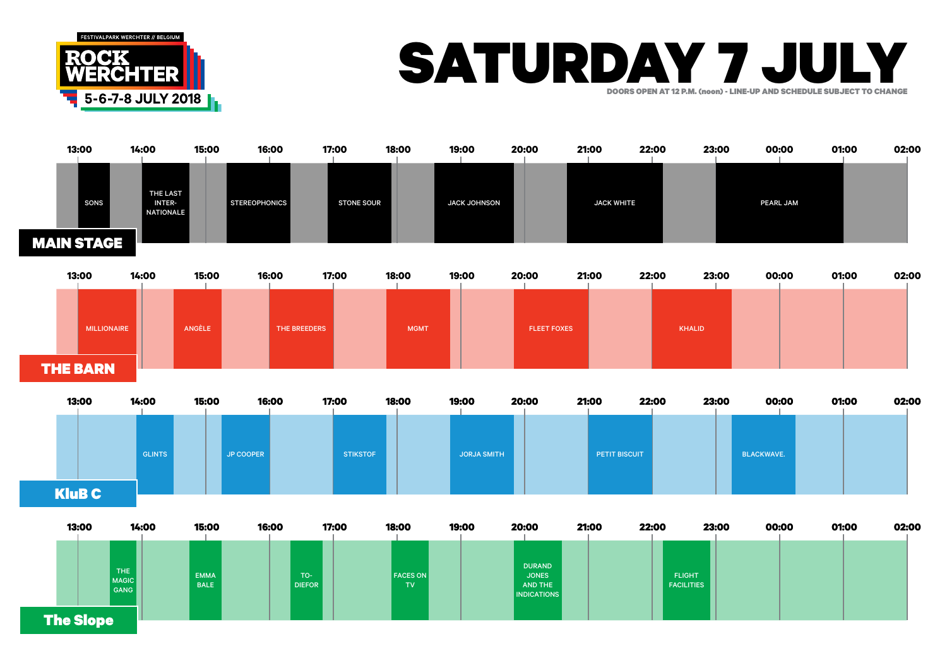

## SATURDAY 7 JULY DOORS OPEN AT 12 P.M. (noon) - LINE-UP AND SCHEDULE SUBJECT TO CHANGE





| 13:00            | 14:00                       | 15:00                      | 16:00 | 17:00                  | 18:00                  | 19:00 | 20:00                                                          | 21:00 | 22:00                              | 23:00 | 00:00 | 01:00 | 02:00 |
|------------------|-----------------------------|----------------------------|-------|------------------------|------------------------|-------|----------------------------------------------------------------|-------|------------------------------------|-------|-------|-------|-------|
| <b>The Slope</b> | THE<br><b>MAGIC</b><br>GANG | <b>EMMA</b><br><b>BALE</b> |       | $TO-$<br><b>DIEFOR</b> | <b>FACES ON</b><br>TV. |       | <b>DURAND</b><br><b>JONES</b><br>AND THE<br><b>INDICATIONS</b> |       | <b>FLIGHT</b><br><b>FACILITIES</b> |       |       |       |       |
|                  |                             |                            |       |                        |                        |       |                                                                |       |                                    |       |       |       |       |